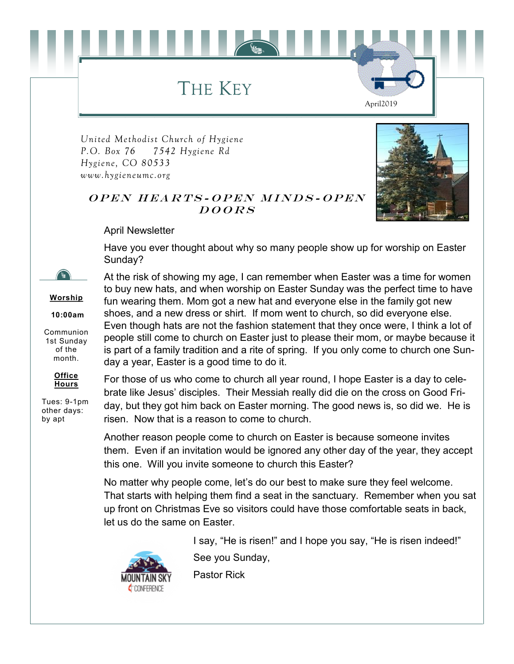THE KEY

*United Methodist Church of Hygiene P.O. Box 76 7542 Hygiene Rd Hygiene, CO 80533 www.hygieneumc.org*



April2019

## OPEN HEARTS-OPEN MINDS-OPEN  $DOORS$

April Newsletter

Have you ever thought about why so many people show up for worship on Easter Sunday?

At the risk of showing my age, I can remember when Easter was a time for women



**Worship**

**10:00am**

Communion 1st Sunday of the month.



Tues: 9-1pm other days: by apt

to buy new hats, and when worship on Easter Sunday was the perfect time to have fun wearing them. Mom got a new hat and everyone else in the family got new shoes, and a new dress or shirt. If mom went to church, so did everyone else. Even though hats are not the fashion statement that they once were, I think a lot of people still come to church on Easter just to please their mom, or maybe because it is part of a family tradition and a rite of spring. If you only come to church one Sunday a year, Easter is a good time to do it.

For those of us who come to church all year round, I hope Easter is a day to celebrate like Jesus' disciples. Their Messiah really did die on the cross on Good Friday, but they got him back on Easter morning. The good news is, so did we. He is risen. Now that is a reason to come to church.

Another reason people come to church on Easter is because someone invites them. Even if an invitation would be ignored any other day of the year, they accept this one. Will you invite someone to church this Easter?

No matter why people come, let's do our best to make sure they feel welcome. That starts with helping them find a seat in the sanctuary. Remember when you sat up front on Christmas Eve so visitors could have those comfortable seats in back, let us do the same on Easter.



I say, "He is risen!" and I hope you say, "He is risen indeed!"

See you Sunday,

Pastor Rick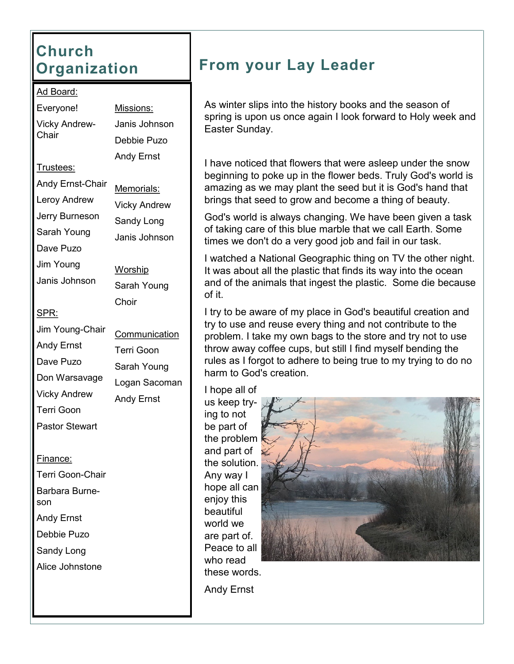# **Church Organization**

### Ad Board:

Everyone! Vicky Andrew-**Chair** 

Missions: Janis Johnson Debbie Puzo Andy Ernst

Leroy Andrew

Andy Ernst-Chair

Trustees:

Jerry Burneson

Sarah Young Dave Puzo

Jim Young

- Janis Johnson
- SPR:
- Jim Young-Chair
- Andy Ernst
- Dave Puzo

Don Warsavage

Vicky Andrew

Terri Goon

Pastor Stewart

## Finance:

Terri Goon-Chair Barbara Burneson Andy Ernst Debbie Puzo Sandy Long Alice Johnstone

Memorials: Vicky Andrew Sandy Long Janis Johnson

Worship Sarah Young Choir

**Communication** Terri Goon Sarah Young Logan Sacoman Andy Ernst

# **From your Lay Leader**

As winter slips into the history books and the season of spring is upon us once again I look forward to Holy week and Easter Sunday.

I have noticed that flowers that were asleep under the snow beginning to poke up in the flower beds. Truly God's world is amazing as we may plant the seed but it is God's hand that brings that seed to grow and become a thing of beauty.

God's world is always changing. We have been given a task of taking care of this blue marble that we call Earth. Some times we don't do a very good job and fail in our task.

I watched a National Geographic thing on TV the other night. It was about all the plastic that finds its way into the ocean and of the animals that ingest the plastic. Some die because of it.

I try to be aware of my place in God's beautiful creation and try to use and reuse every thing and not contribute to the problem. I take my own bags to the store and try not to use throw away coffee cups, but still I find myself bending the rules as I forgot to adhere to being true to my trying to do no harm to God's creation.

I hope all of us keep trying to not be part of the problem and part of the solution. Any way I hope all can enjoy this beautiful world we are part of. Peace to all who read these words.



Andy Ernst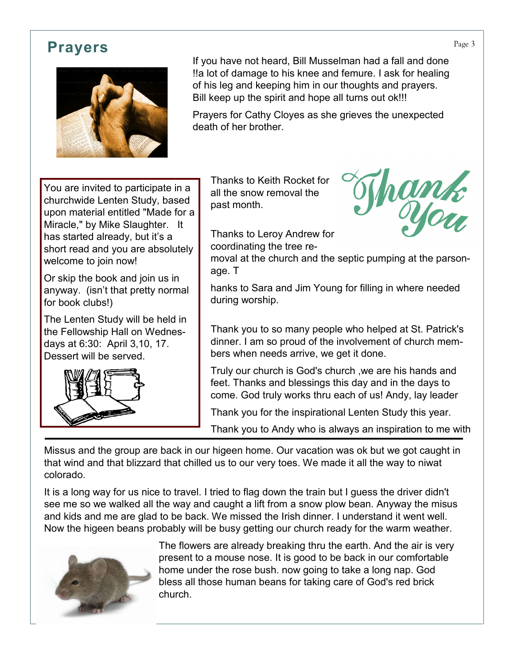# **Prayers** Prayers **Prayers**



If you have not heard, Bill Musselman had a fall and done !!a lot of damage to his knee and femure. I ask for healing of his leg and keeping him in our thoughts and prayers. Bill keep up the spirit and hope all turns out ok!!!

Prayers for Cathy Cloyes as she grieves the unexpected death of her brother.

You are invited to participate in a churchwide Lenten Study, based upon material entitled "Made for a Miracle," by Mike Slaughter. It has started already, but it's a short read and you are absolutely welcome to join now!

Or skip the book and join us in anyway. (isn't that pretty normal for book clubs!)

The Lenten Study will be held in the Fellowship Hall on Wednesdays at 6:30: April 3,10, 17. Dessert will be served.



Thanks to Keith Rocket for all the snow removal the past month.



Thanks to Leroy Andrew for coordinating the tree re-

moval at the church and the septic pumping at the parsonage. T

hanks to Sara and Jim Young for filling in where needed during worship.

Thank you to so many people who helped at St. Patrick's dinner. I am so proud of the involvement of church members when needs arrive, we get it done.

Truly our church is God's church ,we are his hands and feet. Thanks and blessings this day and in the days to come. God truly works thru each of us! Andy, lay leader

Thank you for the inspirational Lenten Study this year.

Thank you to Andy who is always an inspiration to me with

Missus and the group are back in our higeen home. Our vacation was ok but we got caught in that wind and that blizzard that chilled us to our very toes. We made it all the way to niwat colorado.

It is a long way for us nice to travel. I tried to flag down the train but I guess the driver didn't see me so we walked all the way and caught a lift from a snow plow bean. Anyway the misus and kids and me are glad to be back. We missed the Irish dinner. I understand it went well. Now the higeen beans probably will be busy getting our church ready for the warm weather.



The flowers are already breaking thru the earth. And the air is very present to a mouse nose. It is good to be back in our comfortable home under the rose bush. now going to take a long nap. God bless all those human beans for taking care of God's red brick church.